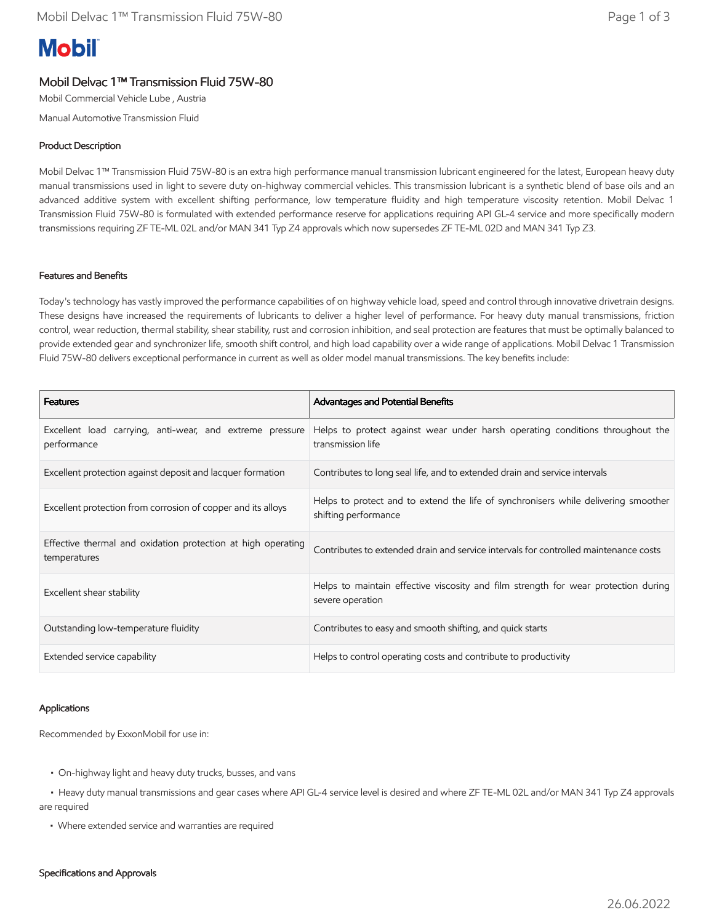# **Mobil**

## Mobil Delvac 1™ Transmission Fluid 75W-80

Mobil Commercial Vehicle Lube , Austria

Manual Automotive Transmission Fluid

### Product Description

Mobil Delvac 1™ Transmission Fluid 75W-80 is an extra high performance manual transmission lubricant engineered for the latest, European heavy duty manual transmissions used in light to severe duty on-highway commercial vehicles. This transmission lubricant is a synthetic blend of base oils and an advanced additive system with excellent shifting performance, low temperature fluidity and high temperature viscosity retention. Mobil Delvac 1 Transmission Fluid 75W-80 is formulated with extended performance reserve for applications requiring API GL-4 service and more specifically modern transmissions requiring ZF TE-ML 02L and/or MAN 341 Typ Z4 approvals which now supersedes ZF TE-ML 02D and MAN 341 Typ Z3.

#### Features and Benefits

Today's technology has vastly improved the performance capabilities of on highway vehicle load, speed and control through innovative drivetrain designs. These designs have increased the requirements of lubricants to deliver a higher level of performance. For heavy duty manual transmissions, friction control, wear reduction, thermal stability, shear stability, rust and corrosion inhibition, and seal protection are features that must be optimally balanced to provide extended gear and synchronizer life, smooth shift control, and high load capability over a wide range of applications. Mobil Delvac 1 Transmission Fluid 75W-80 delivers exceptional performance in current as well as older model manual transmissions. The key benefits include:

| <b>Features</b>                                                              | Advantages and Potential Benefits                                                                          |
|------------------------------------------------------------------------------|------------------------------------------------------------------------------------------------------------|
| Excellent load carrying, anti-wear, and extreme pressure<br>performance      | Helps to protect against wear under harsh operating conditions throughout the<br>transmission life         |
| Excellent protection against deposit and lacquer formation                   | Contributes to long seal life, and to extended drain and service intervals                                 |
| Excellent protection from corrosion of copper and its alloys                 | Helps to protect and to extend the life of synchronisers while delivering smoother<br>shifting performance |
| Effective thermal and oxidation protection at high operating<br>temperatures | Contributes to extended drain and service intervals for controlled maintenance costs                       |
| Excellent shear stability                                                    | Helps to maintain effective viscosity and film strength for wear protection during<br>severe operation     |
| Outstanding low-temperature fluidity                                         | Contributes to easy and smooth shifting, and quick starts                                                  |
| Extended service capability                                                  | Helps to control operating costs and contribute to productivity                                            |

#### Applications

Recommended by ExxonMobil for use in:

- On-highway light and heavy duty trucks, busses, and vans
- • Heavy duty manual transmissions and gear cases where API GL-4 service level is desired and where ZF TE-ML 02L and/or MAN 341 Typ Z4 approvals are required
	- Where extended service and warranties are required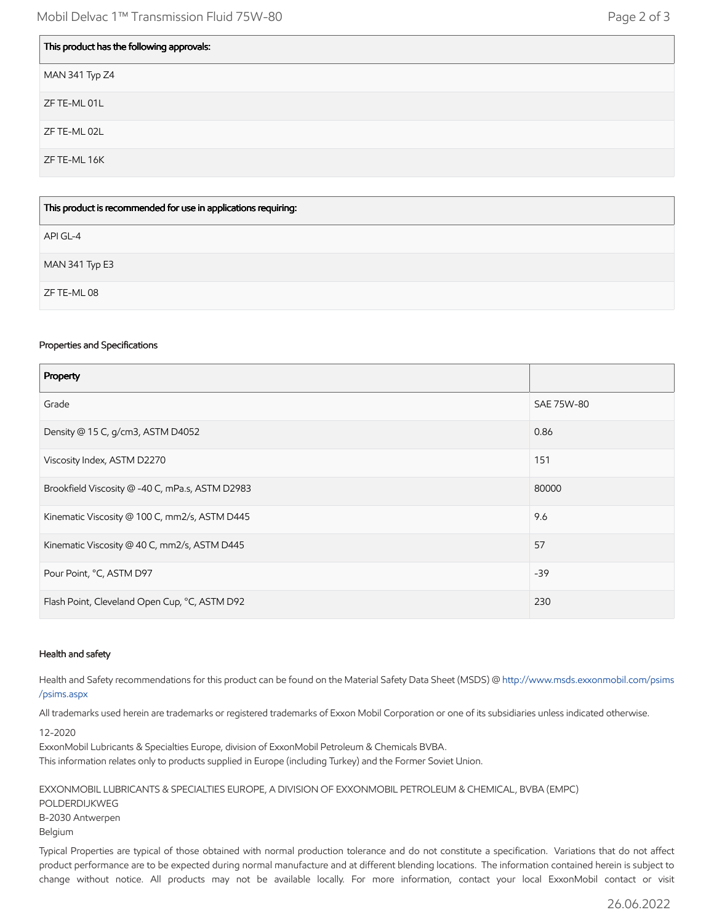| This product has the following approvals: |
|-------------------------------------------|
| MAN 341 Typ Z4                            |
| ZF TE-ML 01L                              |
| ZF TE-ML 02L                              |
| ZF TE-ML 16K                              |
|                                           |

| This product is recommended for use in applications requiring: |
|----------------------------------------------------------------|
| API GL-4                                                       |
| MAN 341 Typ E3                                                 |
| ZF TE-ML 08                                                    |

#### Properties and Specifications

| Property                                        |            |
|-------------------------------------------------|------------|
| Grade                                           | SAE 75W-80 |
| Density @ 15 C, g/cm3, ASTM D4052               | 0.86       |
| Viscosity Index, ASTM D2270                     | 151        |
| Brookfield Viscosity @ -40 C, mPa.s, ASTM D2983 | 80000      |
| Kinematic Viscosity @ 100 C, mm2/s, ASTM D445   | 9.6        |
| Kinematic Viscosity @ 40 C, mm2/s, ASTM D445    | 57         |
| Pour Point, °C, ASTM D97                        | $-39$      |
| Flash Point, Cleveland Open Cup, °C, ASTM D92   | 230        |

#### Health and safety

Health and Safety recommendations for this product can be found on the Material Safety Data Sheet (MSDS) @ [http://www.msds.exxonmobil.com/psims](http://www.msds.exxonmobil.com/psims/psims.aspx) /psims.aspx

All trademarks used herein are trademarks or registered trademarks of Exxon Mobil Corporation or one of its subsidiaries unless indicated otherwise.

12-2020

ExxonMobil Lubricants & Specialties Europe, division of ExxonMobil Petroleum & Chemicals BVBA.

This information relates only to products supplied in Europe (including Turkey) and the Former Soviet Union.

EXXONMOBIL LUBRICANTS & SPECIALTIES EUROPE, A DIVISION OF EXXONMOBIL PETROLEUM & CHEMICAL, BVBA (EMPC) POLDERDIJKWEG B-2030 Antwerpen Belgium

Typical Properties are typical of those obtained with normal production tolerance and do not constitute a specification. Variations that do not affect product performance are to be expected during normal manufacture and at different blending locations. The information contained herein is subject to change without notice. All products may not be available locally. For more information, contact your local ExxonMobil contact or visit